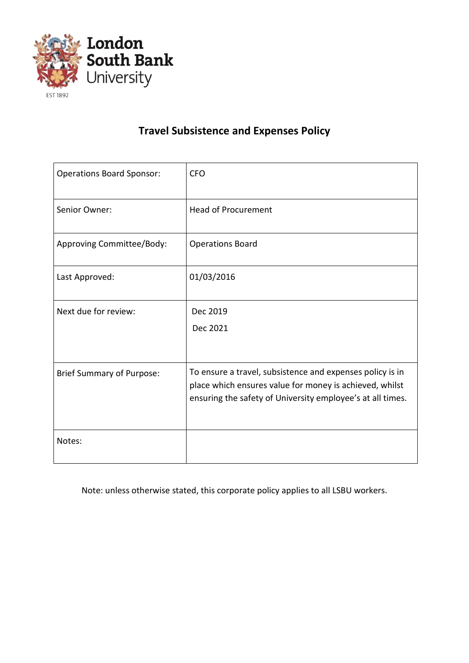

## **Travel Subsistence and Expenses Policy**

| <b>Operations Board Sponsor:</b> | <b>CFO</b>                                                                                                                                                                         |
|----------------------------------|------------------------------------------------------------------------------------------------------------------------------------------------------------------------------------|
| Senior Owner:                    | <b>Head of Procurement</b>                                                                                                                                                         |
| Approving Committee/Body:        | <b>Operations Board</b>                                                                                                                                                            |
| Last Approved:                   | 01/03/2016                                                                                                                                                                         |
| Next due for review:             | Dec 2019<br>Dec 2021                                                                                                                                                               |
| <b>Brief Summary of Purpose:</b> | To ensure a travel, subsistence and expenses policy is in<br>place which ensures value for money is achieved, whilst<br>ensuring the safety of University employee's at all times. |
| Notes:                           |                                                                                                                                                                                    |

Note: unless otherwise stated, this corporate policy applies to all LSBU workers.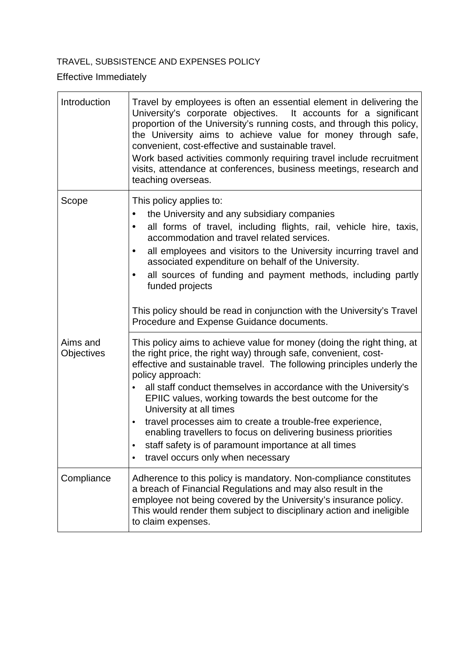## TRAVEL, SUBSISTENCE AND EXPENSES POLICY

## Effective Immediately

| Introduction           | Travel by employees is often an essential element in delivering the<br>University's corporate objectives. It accounts for a significant<br>proportion of the University's running costs, and through this policy,<br>the University aims to achieve value for money through safe,<br>convenient, cost-effective and sustainable travel.<br>Work based activities commonly requiring travel include recruitment<br>visits, attendance at conferences, business meetings, research and<br>teaching overseas.                                                                                                                                                          |
|------------------------|---------------------------------------------------------------------------------------------------------------------------------------------------------------------------------------------------------------------------------------------------------------------------------------------------------------------------------------------------------------------------------------------------------------------------------------------------------------------------------------------------------------------------------------------------------------------------------------------------------------------------------------------------------------------|
| Scope                  | This policy applies to:<br>the University and any subsidiary companies<br>all forms of travel, including flights, rail, vehicle hire, taxis,<br>٠<br>accommodation and travel related services.<br>all employees and visitors to the University incurring travel and<br>٠<br>associated expenditure on behalf of the University.<br>all sources of funding and payment methods, including partly<br>funded projects<br>This policy should be read in conjunction with the University's Travel<br>Procedure and Expense Guidance documents.                                                                                                                          |
| Aims and<br>Objectives | This policy aims to achieve value for money (doing the right thing, at<br>the right price, the right way) through safe, convenient, cost-<br>effective and sustainable travel. The following principles underly the<br>policy approach:<br>all staff conduct themselves in accordance with the University's<br>$\bullet$<br>EPIIC values, working towards the best outcome for the<br>University at all times<br>travel processes aim to create a trouble-free experience,<br>$\bullet$<br>enabling travellers to focus on delivering business priorities<br>staff safety is of paramount importance at all times<br>travel occurs only when necessary<br>$\bullet$ |
| Compliance             | Adherence to this policy is mandatory. Non-compliance constitutes<br>a breach of Financial Regulations and may also result in the<br>employee not being covered by the University's insurance policy.<br>This would render them subject to disciplinary action and ineligible<br>to claim expenses.                                                                                                                                                                                                                                                                                                                                                                 |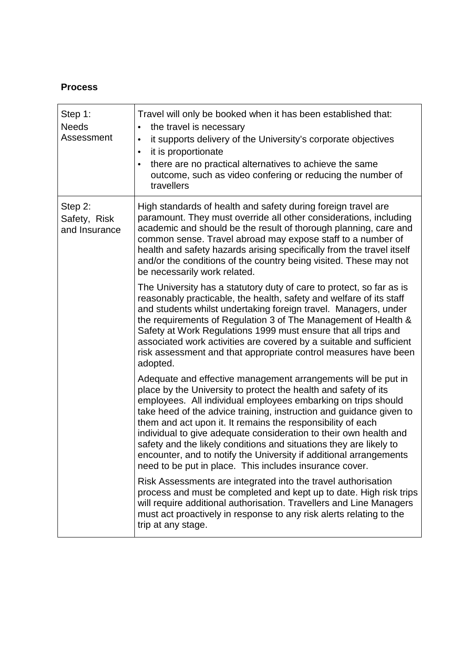## **Process**

| Step 1:<br><b>Needs</b><br>Assessment    | Travel will only be booked when it has been established that:<br>the travel is necessary<br>it supports delivery of the University's corporate objectives<br>it is proportionate<br>٠<br>there are no practical alternatives to achieve the same<br>outcome, such as video confering or reducing the number of<br>travellers                                                                                                                                                                                                                                                                                        |
|------------------------------------------|---------------------------------------------------------------------------------------------------------------------------------------------------------------------------------------------------------------------------------------------------------------------------------------------------------------------------------------------------------------------------------------------------------------------------------------------------------------------------------------------------------------------------------------------------------------------------------------------------------------------|
| Step 2:<br>Safety, Risk<br>and Insurance | High standards of health and safety during foreign travel are<br>paramount. They must override all other considerations, including<br>academic and should be the result of thorough planning, care and<br>common sense. Travel abroad may expose staff to a number of<br>health and safety hazards arising specifically from the travel itself<br>and/or the conditions of the country being visited. These may not<br>be necessarily work related.                                                                                                                                                                 |
|                                          | The University has a statutory duty of care to protect, so far as is<br>reasonably practicable, the health, safety and welfare of its staff<br>and students whilst undertaking foreign travel. Managers, under<br>the requirements of Regulation 3 of The Management of Health &<br>Safety at Work Regulations 1999 must ensure that all trips and<br>associated work activities are covered by a suitable and sufficient<br>risk assessment and that appropriate control measures have been<br>adopted.                                                                                                            |
|                                          | Adequate and effective management arrangements will be put in<br>place by the University to protect the health and safety of its<br>employees. All individual employees embarking on trips should<br>take heed of the advice training, instruction and guidance given to<br>them and act upon it. It remains the responsibility of each<br>individual to give adequate consideration to their own health and<br>safety and the likely conditions and situations they are likely to<br>encounter, and to notify the University if additional arrangements<br>need to be put in place. This includes insurance cover. |
|                                          | Risk Assessments are integrated into the travel authorisation<br>process and must be completed and kept up to date. High risk trips<br>will require additional authorisation. Travellers and Line Managers<br>must act proactively in response to any risk alerts relating to the<br>trip at any stage.                                                                                                                                                                                                                                                                                                             |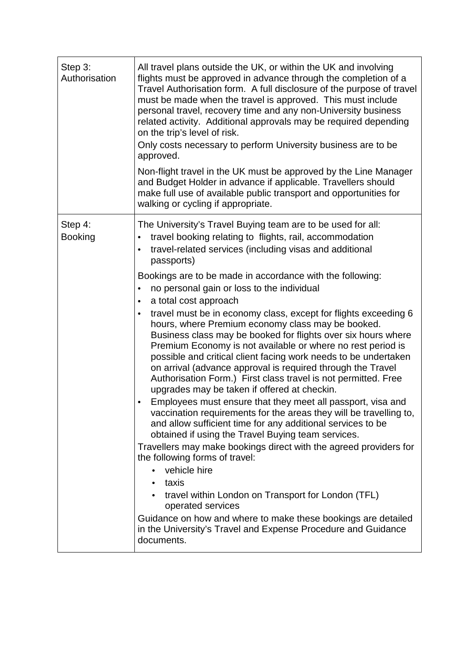| Step 3:<br>Authorisation  | All travel plans outside the UK, or within the UK and involving<br>flights must be approved in advance through the completion of a<br>Travel Authorisation form. A full disclosure of the purpose of travel<br>must be made when the travel is approved. This must include<br>personal travel, recovery time and any non-University business<br>related activity. Additional approvals may be required depending<br>on the trip's level of risk.<br>Only costs necessary to perform University business are to be<br>approved.<br>Non-flight travel in the UK must be approved by the Line Manager<br>and Budget Holder in advance if applicable. Travellers should<br>make full use of available public transport and opportunities for<br>walking or cycling if appropriate.                                                                                                                                                                                                                                                                                                                                                                                                                                                                                                                                                           |
|---------------------------|------------------------------------------------------------------------------------------------------------------------------------------------------------------------------------------------------------------------------------------------------------------------------------------------------------------------------------------------------------------------------------------------------------------------------------------------------------------------------------------------------------------------------------------------------------------------------------------------------------------------------------------------------------------------------------------------------------------------------------------------------------------------------------------------------------------------------------------------------------------------------------------------------------------------------------------------------------------------------------------------------------------------------------------------------------------------------------------------------------------------------------------------------------------------------------------------------------------------------------------------------------------------------------------------------------------------------------------|
| Step 4:<br><b>Booking</b> | The University's Travel Buying team are to be used for all:<br>travel booking relating to flights, rail, accommodation<br>travel-related services (including visas and additional<br>passports)<br>Bookings are to be made in accordance with the following:<br>no personal gain or loss to the individual<br>a total cost approach<br>travel must be in economy class, except for flights exceeding 6<br>hours, where Premium economy class may be booked.<br>Business class may be booked for flights over six hours where<br>Premium Economy is not available or where no rest period is<br>possible and critical client facing work needs to be undertaken<br>on arrival (advance approval is required through the Travel<br>Authorisation Form.) First class travel is not permitted. Free<br>upgrades may be taken if offered at checkin.<br>Employees must ensure that they meet all passport, visa and<br>vaccination requirements for the areas they will be travelling to,<br>and allow sufficient time for any additional services to be<br>obtained if using the Travel Buying team services.<br>Travellers may make bookings direct with the agreed providers for<br>the following forms of travel:<br>vehicle hire<br>$\bullet$<br>taxis<br>٠<br>• travel within London on Transport for London (TFL)<br>operated services |
|                           | Guidance on how and where to make these bookings are detailed<br>in the University's Travel and Expense Procedure and Guidance<br>documents.                                                                                                                                                                                                                                                                                                                                                                                                                                                                                                                                                                                                                                                                                                                                                                                                                                                                                                                                                                                                                                                                                                                                                                                             |